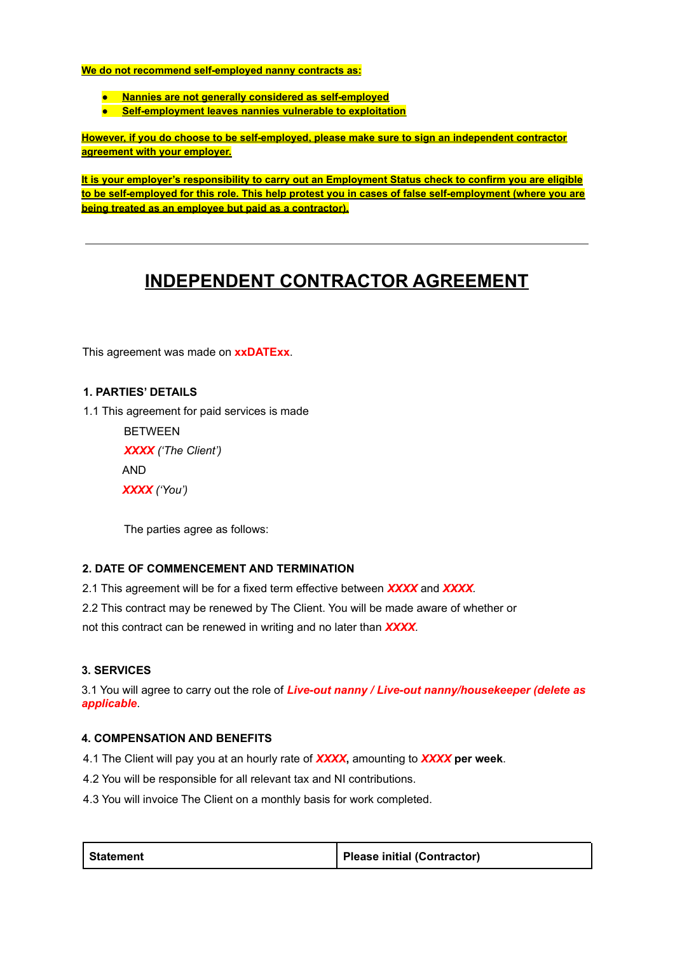**We do not recommend self-employed nanny contracts as:**

- **● Nannies are not generally considered as self-employed**
- **● Self-employment leaves nannies vulnerable to exploitation**

**However, if you do choose to be self-employed, please make sure to sign an independent contractor agreement with your employer.**

**It is your employer's responsibility to carry out an Employment Status check to confirm you are eligible to be self-employed for this role. This help protest you in cases of false self-employment (where you are being treated as an employee but paid as a contractor).**

# **INDEPENDENT CONTRACTOR AGREEMENT**

This agreement was made on **xxDATExx**.

## **1. PARTIES' DETAILS**

1.1 This agreement for paid services is made

| <b>BETWEEN</b>             |
|----------------------------|
| <b>XXXX</b> ('The Client') |
| AND                        |
| XXXX ('You')               |

The parties agree as follows:

### **2. DATE OF COMMENCEMENT AND TERMINATION**

2.1 This agreement will be for a fixed term effective between *XXXX* and *XXXX.*

2.2 This contract may be renewed by The Client. You will be made aware of whether or

not this contract can be renewed in writing and no later than *XXXX.*

### **3. SERVICES**

3.1 You will agree to carry out the role of *Live-out nanny / Live-out nanny/housekeeper (delete as applicable*.

### **4. COMPENSATION AND BENEFITS**

4.1 The Client will pay you at an hourly rate of *XXXX***,** amounting to *XXXX* **per week**.

4.2 You will be responsible for all relevant tax and NI contributions.

4.3 You will invoice The Client on a monthly basis for work completed.

| Please initial (Contractor) |
|-----------------------------|
|                             |